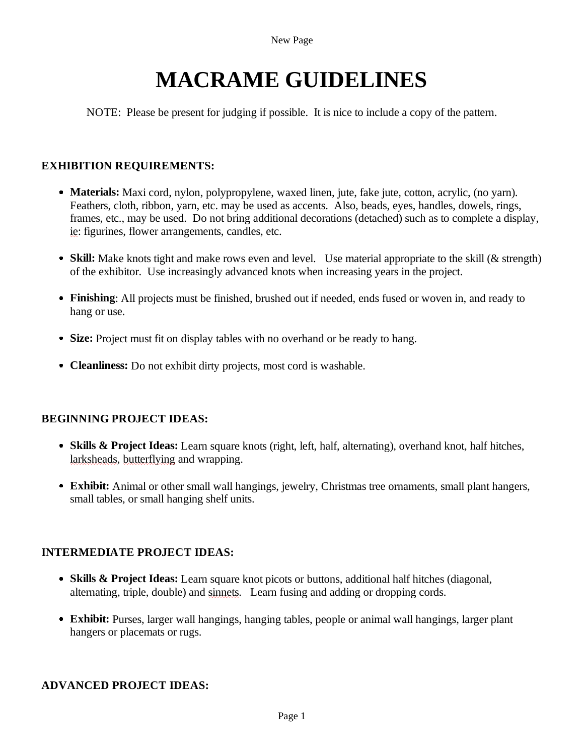# **MACRAME GUIDELINES**

NOTE: Please be present for judging if possible. It is nice to include a copy of the pattern.

## **EXHIBITION REQUIREMENTS:**

- **Materials:** Maxi cord, nylon, polypropylene, waxed linen, jute, fake jute, cotton, acrylic, (no yarn). Feathers, cloth, ribbon, yarn, etc. may be used as accents. Also, beads, eyes, handles, dowels, rings, frames, etc., may be used. Do not bring additional decorations (detached) such as to complete a display, ie: figurines, flower arrangements, candles, etc.
- **Skill:** Make knots tight and make rows even and level. Use material appropriate to the skill (& strength) of the exhibitor. Use increasingly advanced knots when increasing years in the project.
- **Finishing**: All projects must be finished, brushed out if needed, ends fused or woven in, and ready to hang or use.
- **Size:** Project must fit on display tables with no overhand or be ready to hang.
- **Cleanliness:** Do not exhibit dirty projects, most cord is washable.

### **BEGINNING PROJECT IDEAS:**

- **Skills & Project Ideas:** Learn square knots (right, left, half, alternating), overhand knot, half hitches, larksheads, butterflying and wrapping.
- **Exhibit:** Animal or other small wall hangings, jewelry, Christmas tree ornaments, small plant hangers, small tables, or small hanging shelf units.

### **INTERMEDIATE PROJECT IDEAS:**

- **Skills & Project Ideas:** Learn square knot picots or buttons, additional half hitches (diagonal, alternating, triple, double) and sinnets. Learn fusing and adding or dropping cords.
- **Exhibit:** Purses, larger wall hangings, hanging tables, people or animal wall hangings, larger plant hangers or placemats or rugs.

### **ADVANCED PROJECT IDEAS:**